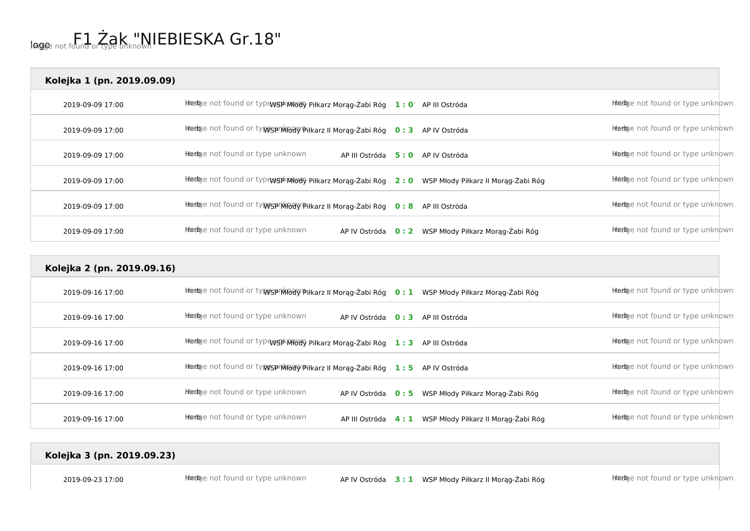| Kolejka 1 (pn. 2019.09.09) |                                                                                                      |     |                                  |                                  |
|----------------------------|------------------------------------------------------------------------------------------------------|-----|----------------------------------|----------------------------------|
| 2019-09-09 17:00           | Hierbye not found or typewspkmedy Piłkarz Morąg-Żabi Róg 1:0 AP III Ostróda                          |     |                                  | Heebye not found or type unknown |
| 2019-09-09 17:00           | Heelge not found or ty WesprMHody Piłkarz II Morąg-Żabi Róg 0:3                                      |     | AP IV Ostróda                    | Heebye not found or type unknown |
| 2019-09-09 17:00           | Heeloge not found or type unknown<br>AP III Ostróda                                                  | 5:0 | AP IV Ostróda                    | Heebje not found or type unknown |
| 2019-09-09 17:00           | Hiedgie not found or typewsjikMibboly Piłkarz Morąg-Żabi Róg 2:0 WSP Młody Piłkarz II Morąg-Żabi Róg |     |                                  | Heebje not found or type unknown |
| 2019-09-09 17:00           | Hiedge not found or ty Wisp Middly Piłkarz II Morąg-Żabi Róg 0:8 AP III Ostróda                      |     |                                  | Heebye not found or type unknown |
| 2019-09-09 17:00           | Heeloge not found or type unknown<br>AP IV Ostróda 0:2                                               |     | WSP Młody Piłkarz Morag-Żabi Róg | Heebye not found or type unknown |

| Kolejka 2 (pn. 2019.09.16) |                                                                                                     |     |                                     |                                  |
|----------------------------|-----------------------------------------------------------------------------------------------------|-----|-------------------------------------|----------------------------------|
| 2019-09-16 17:00           | Heeloge not found or typesprofiedly Piłkarz II Morąg-Żabi Róg 0: 1 WSP Młody Piłkarz Morąg-Żabi Róg |     |                                     | Heebye not found or type unknown |
| 2019-09-16 17:00           | Heelge not found or type unknown<br>AP IV Ostróda 0:3                                               |     | AP III Ostróda                      | Heebye not found or type unknown |
| 2019-09-16 17:00           | Heelge not found or typew5pkMHbWy Piłkarz Morąg-Żabi Róg 1:3                                        |     | AP III Ostróda                      | Heebje not found or type unknown |
| 2019-09-16 17:00           | Hiedge not found or ty MSPIMHody Piłkarz II Morąg-Żabi Róg                                          | 1:5 | AP IV Ostróda                       | Heebje not found or type unknown |
| 2019-09-16 17:00           | Heelge not found or type unknown<br>AP IV Ostróda 0:5                                               |     | WSP Młody Piłkarz Morag-Żabi Róg    | Heebje not found or type unknown |
| 2019-09-16 17:00           | Heebye not found or type unknown<br>AP III Ostróda                                                  | 4:1 | WSP Młody Piłkarz II Morag-Żabi Róg | Heebye not found or type unknown |

**Kolejka 3 (pn. 2019.09.23)**